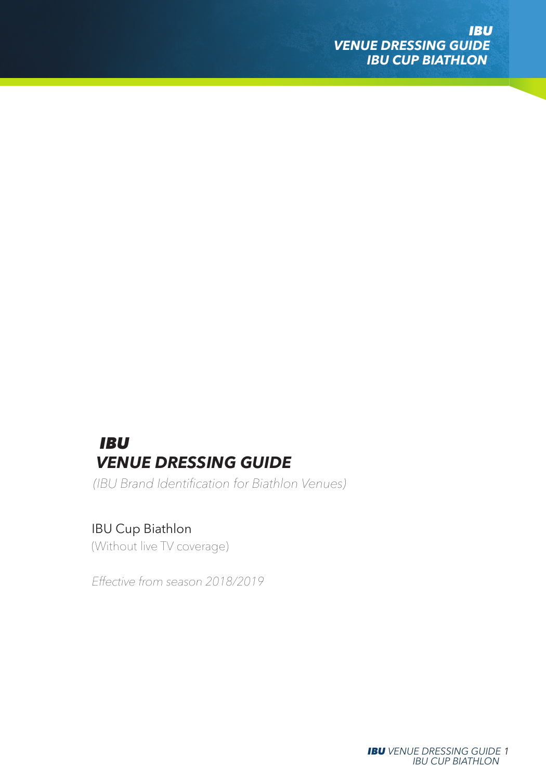# *IBU VENUE DRESSING GUIDE*

*(IBU Brand Identification for Biathlon Venues)*

## IBU Cup Biathlon

*(Without live TV coverage)*

*Effective from season 2018/2019*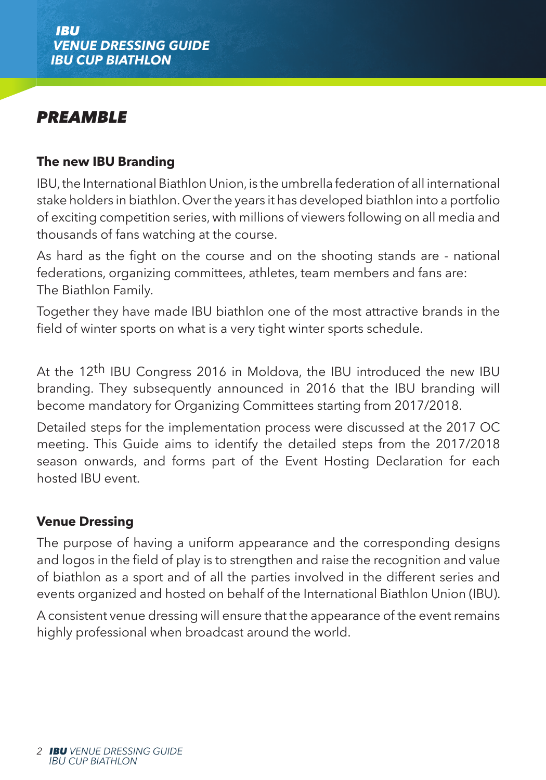# *PREAMBLE*

## **The new IBU Branding**

IBU, the International Biathlon Union, is the umbrella federation of all international stake holders in biathlon. Over the years it has developed biathlon into a portfolio of exciting competition series, with millions of viewers following on all media and thousands of fans watching at the course.

As hard as the fight on the course and on the shooting stands are - national federations, organizing committees, athletes, team members and fans are: The Biathlon Family.

Together they have made IBU biathlon one of the most attractive brands in the field of winter sports on what is a very tight winter sports schedule.

At the 12th IBU Congress 2016 in Moldova, the IBU introduced the new IBU branding. They subsequently announced in 2016 that the IBU branding will become mandatory for Organizing Committees starting from 2017/2018.

Detailed steps for the implementation process were discussed at the 2017 OC meeting. This Guide aims to identify the detailed steps from the 2017/2018 season onwards, and forms part of the Event Hosting Declaration for each hosted IBU event.

### **Venue Dressing**

The purpose of having a uniform appearance and the corresponding designs and logos in the field of play is to strengthen and raise the recognition and value of biathlon as a sport and of all the parties involved in the different series and events organized and hosted on behalf of the International Biathlon Union (IBU).

A consistent venue dressing will ensure that the appearance of the event remains highly professional when broadcast around the world.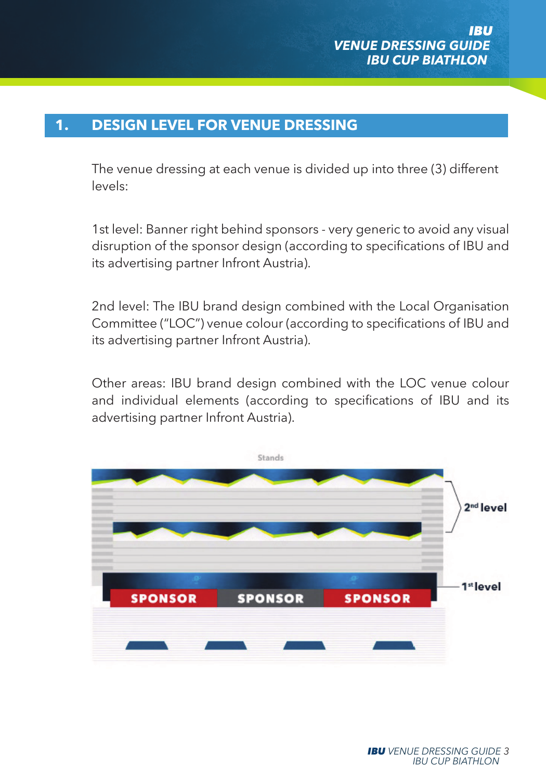## **1. DESIGN LEVEL FOR VENUE DRESSING**

The venue dressing at each venue is divided up into three (3) different levels:

1st level: Banner right behind sponsors - very generic to avoid any visual disruption of the sponsor design (according to specifications of IBU and its advertising partner Infront Austria).

2nd level: The IBU brand design combined with the Local Organisation Committee ("LOC") venue colour (according to specifications of IBU and its advertising partner Infront Austria).

Other areas: IBU brand design combined with the LOC venue colour and individual elements (according to specifications of IBU and its advertising partner Infront Austria).

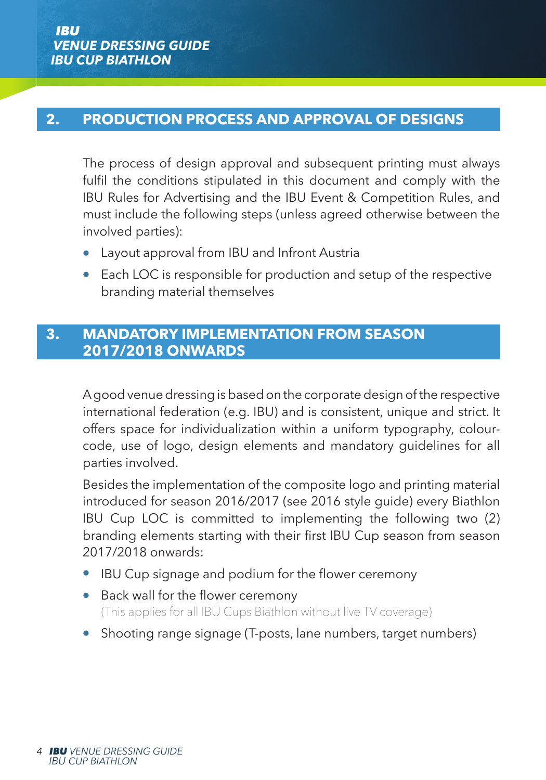### **2. PRODUCTION PROCESS AND APPROVAL OF DESIGNS**

The process of design approval and subsequent printing must always fulfil the conditions stipulated in this document and comply with the IBU Rules for Advertising and the IBU Event & Competition Rules, and must include the following steps (unless agreed otherwise between the involved parties):

- Layout approval from IBU and Infront Austria
- Each LOC is responsible for production and setup of the respective branding material themselves

#### **3. MANDATORY IMPLEMENTATION FROM SEASON 2017/2018 ONWARDS**

A good venue dressing is based on the corporate design of the respective international federation (e.g. IBU) and is consistent, unique and strict. It offers space for individualization within a uniform typography, colourcode, use of logo, design elements and mandatory guidelines for all parties involved.

Besides the implementation of the composite logo and printing material introduced for season 2016/2017 (see 2016 style guide) every Biathlon IBU Cup LOC is committed to implementing the following two (2) branding elements starting with their first IBU Cup season from season 2017/2018 onwards:

- IBU Cup signage and podium for the flower ceremony
- Back wall for the flower ceremony (This applies for all IBU Cups Biathlon without live TV coverage)
- Shooting range signage (T-posts, lane numbers, target numbers)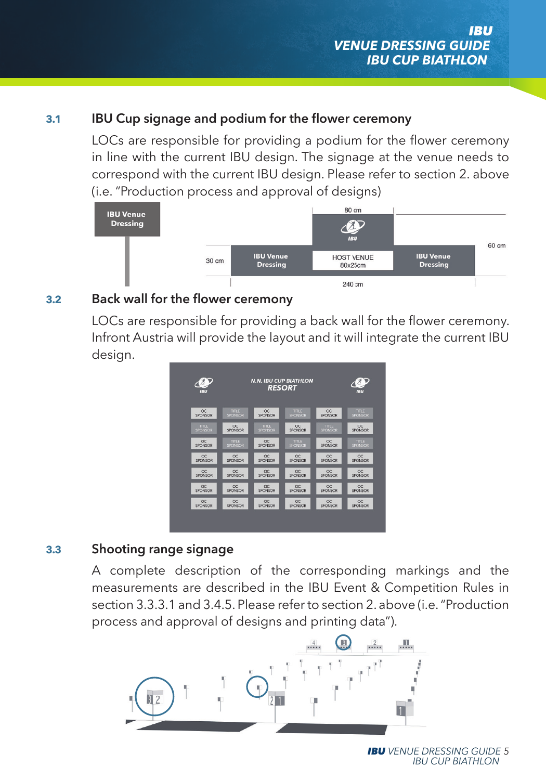#### **3.1 IBU Cup signage and podium for the flower ceremony**

LOCs are responsible for providing a podium for the flower ceremony in line with the current IBU design. The signage at the venue needs to correspond with the current IBU design. Please refer to section 2. above (i.e. "Production process and approval of designs)



#### **3.2 Back wall for the flower ceremony**

LOCs are responsible for providing a back wall for the flower ceremony. Infront Austria will provide the layout and it will integrate the current IBU design.



#### **3.3 Shooting range signage**

 A complete description of the corresponding markings and the measurements are described in the IBU Event & Competition Rules in section 3.3.3.1 and 3.4.5. Please refer to section 2. above (i.e. "Production process and approval of designs and printing data").